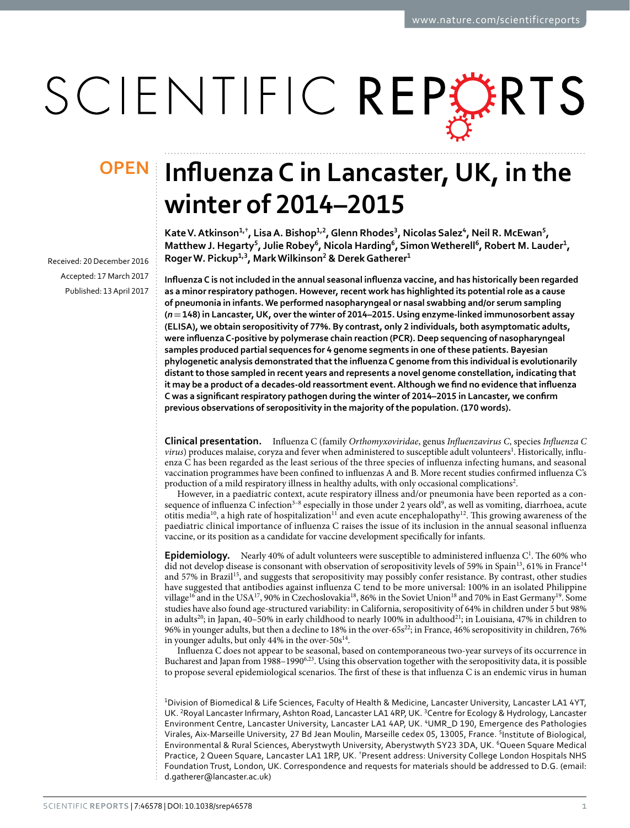# SCIENTIFIC REPORTS

Received: 20 December 2016 accepted: 17 March 2017 Published: 13 April 2017

## **Influenza C in Lancaster, UK, in the OPENwinter of 2014–2015**

**KateV.Atkinson1,† , LisaA. Bishop1,2, Glenn Rhodes3, Nicolas Salez4, Neil R. McEwan5, Matthew J. Hegarty5, Julie Robey6, Nicola Harding6, SimonWetherell6, Robert M. Lauder1, RogerW. Pickup1,3, MarkWilkinson2 & DerekGatherer1**

**Influenza C is not included in the annual seasonal influenza vaccine, and has historically been regarded as a minor respiratory pathogen. However, recent work has highlighted its potential role as a cause of pneumonia in infants. We performed nasopharyngeal or nasal swabbing and/or serum sampling (***n***=148) in Lancaster, UK, over the winter of 2014–2015. Using enzyme-linked immunosorbent assay (ELISA), we obtain seropositivity of 77%. By contrast, only 2 individuals, both asymptomatic adults, were influenza C-positive by polymerase chain reaction (PCR). Deep sequencing of nasopharyngeal samples produced partial sequences for 4 genome segments in one of these patients. Bayesian phylogenetic analysis demonstrated that the influenza C genome from this individual is evolutionarily distant to those sampled in recent years and represents a novel genome constellation, indicating that it may be a product of a decades-old reassortment event. Although we find no evidence that influenza C was a significant respiratory pathogen during the winter of 2014–2015 in Lancaster, we confirm previous observations of seropositivity in the majority of the population. (170 words).**

**Clinical presentation.** Influenza C (family *Orthomyxoviridae*, genus *Influenzavirus C*, species *Influenza C*  virus) produces malaise, coryza and fever when administered to susceptible adult volunteers<sup>1</sup>. Historically, influenza C has been regarded as the least serious of the three species of influenza infecting humans, and seasonal vaccination programmes have been confined to influenzas A and B. More recent studies confirmed influenza C's production of a mild respiratory illness in healthy adults, with only occasional complications<sup>2</sup>.

However, in a paediatric context, acute respiratory illness and/or pneumonia have been reported as a consequence of influenza C infection $^{3-8}$  especially in those under 2 years old $^9$ , as well as vomiting, diarrhoea, acute otitis media<sup>10</sup>, a high rate of hospitalization<sup>11</sup> and even acute encephalopathy<sup>12</sup>. This growing awareness of the paediatric clinical importance of influenza C raises the issue of its inclusion in the annual seasonal influenza vaccine, or its position as a candidate for vaccine development specifically for infants.

Epidemiology. Nearly 40% of adult volunteers were susceptible to administered influenza C<sup>1</sup>. The 60% who did not develop disease is consonant with observation of seropositivity levels of 59% in Spain<sup>13</sup>, 61% in France<sup>14</sup> and 57% in Brazil<sup>15</sup>, and suggests that seropositivity may possibly confer resistance. By contrast, other studies have suggested that antibodies against influenza C tend to be more universal: 100% in an isolated Philippine village<sup>16</sup> and in the USA<sup>17</sup>, 90% in Czechoslovakia<sup>18</sup>, 86% in the Soviet Union<sup>18</sup> and 70% in East Germany<sup>19</sup>. Some studies have also found age-structured variability: in California, seropositivity of 64% in children under 5 but 98% in adults<sup>20</sup>; in Japan, 40–50% in early childhood to nearly 100% in adulthood<sup>21</sup>; in Louisiana, 47% in children to 96% in younger adults, but then a decline to 18% in the over-65s<sup>22</sup>; in France, 46% seropositivity in children, 76% in younger adults, but only 44% in the over- $50s^{14}$ .

Influenza C does not appear to be seasonal, based on contemporaneous two-year surveys of its occurrence in Bucharest and Japan from 1988–1990<sup>6,23</sup>. Using this observation together with the seropositivity data, it is possible to propose several epidemiological scenarios. The first of these is that influenza C is an endemic virus in human

1Division of Biomedical & Life Sciences, Faculty of Health & Medicine, Lancaster University, Lancaster LA1 4YT, UK. <sup>2</sup>Royal Lancaster Infirmary, Ashton Road, Lancaster LA1 4RP, UK. <sup>3</sup>Centre for Ecology & Hydrology, Lancaster Environment Centre, Lancaster University, Lancaster LA1 4AP, UK. 4UMR\_D 190, Emergence des Pathologies Virales, Aix-Marseille University, 27 Bd Jean Moulin, Marseille cedex 05, 13005, France. 5Institute of Biological, Environmental & Rural Sciences, Aberystwyth University, Aberystwyth SY23 3DA, UK. 6Queen Square Medical Practice, 2 Queen Square, Lancaster LA1 1RP, UK. <sup>+</sup>Present address: University College London Hospitals NHS Foundation Trust, London, UK. Correspondence and requests for materials should be addressed to D.G. (email: [d.gatherer@lancaster.ac.uk\)](mailto:d.gatherer@lancaster.ac.uk)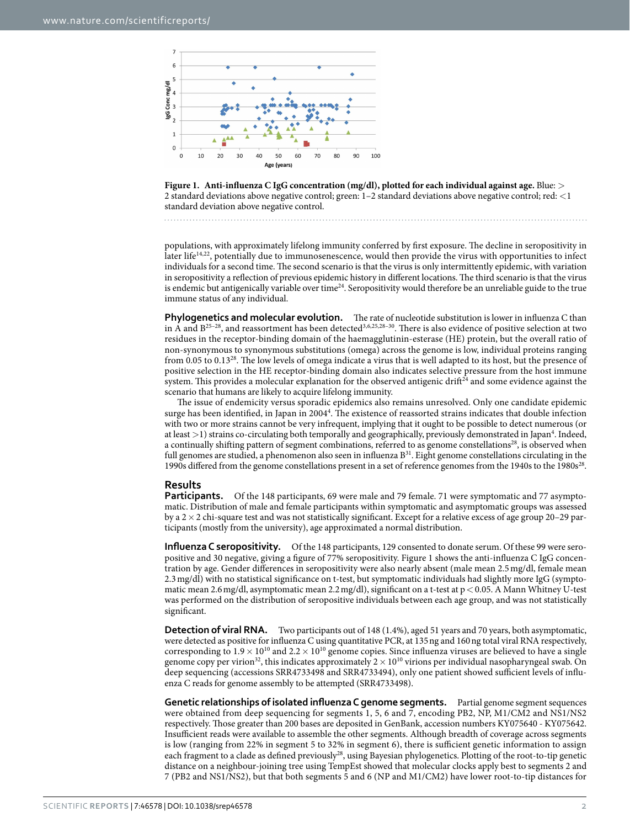

<span id="page-1-0"></span>

populations, with approximately lifelong immunity conferred by first exposure. The decline in seropositivity in later life<sup>[14](#page-6-2),[22](#page-6-3)</sup>, potentially due to immunosenescence, would then provide the virus with opportunities to infect individuals for a second time. The second scenario is that the virus is only intermittently epidemic, with variation in seropositivity a reflection of previous epidemic history in different locations. The third scenario is that the virus is endemic but antigenically variable over time<sup>24</sup>. Seropositivity would therefore be an unreliable guide to the true immune status of any individual.

**Phylogenetics and molecular evolution.** The rate of nucleotide substitution is lower in influenza C than in A and  $B^{25-28}$ , and reassortment has been detected<sup>[3](#page-6-4)[,6](#page-6-5),25,28–30</sup>. There is also evidence of positive selection at two residues in the receptor-binding domain of the haemagglutinin-esterase (HE) protein, but the overall ratio of non-synonymous to synonymous substitutions (omega) across the genome is low, individual proteins ranging from 0.05 to 0.13[28.](#page-6-6) The low levels of omega indicate a virus that is well adapted to its host, but the presence of positive selection in the HE receptor-binding domain also indicates selective pressure from the host immune system. This provides a molecular explanation for the observed antigenic drift<sup>24</sup> and some evidence against the scenario that humans are likely to acquire lifelong immunity.

The issue of endemicity versus sporadic epidemics also remains unresolved. Only one candidate epidemic surge has been identified, in Japan in 2004[4](#page-6-7) . The existence of reassorted strains indicates that double infection with two or more strains cannot be very infrequent, implying that it ought to be possible to detect numerous (or at least >1) strains co-circulating both temporally and geographically, previously demonstrated in Japan<sup>4</sup>. Indeed, a continually shifting pattern of segment combinations, referred to as genome constellations<sup>28</sup>, is observed when full genomes are studied, a phenomenon also seen in influenza  $B<sup>31</sup>$ . Eight genome constellations circulating in the 1990s differed from the genome constellations present in a set of reference genomes from the 1940s to the 1980s<sup>28</sup>.

### **Results**

**Participants.** Of the 148 participants, 69 were male and 79 female. 71 were symptomatic and 77 asymptomatic. Distribution of male and female participants within symptomatic and asymptomatic groups was assessed by a  $2 \times 2$  chi-square test and was not statistically significant. Except for a relative excess of age group 20–29 participants (mostly from the university), age approximated a normal distribution.

**Influenza C seropositivity.** Of the 148 participants, 129 consented to donate serum. Of these 99 were seropositive and 30 negative, giving a figure of 77% seropositivity. Figure 1 shows the anti-influenza C IgG concentration by age. Gender differences in seropositivity were also nearly absent (male mean 2.5mg/dl, female mean 2.3mg/dl) with no statistical significance on t-test, but symptomatic individuals had slightly more IgG (symptomatic mean 2.6mg/dl, asymptomatic mean 2.2mg/dl), significant on a t-test at p<0.05. A Mann Whitney U-test was performed on the distribution of seropositive individuals between each age group, and was not statistically significant.

**Detection of viral RNA.** Two participants out of 148 (1.4%), aged 51 years and 70 years, both asymptomatic, were detected as positive for influenza C using quantitative PCR, at 135ng and 160ng total viral RNA respectively, corresponding to  $1.9 \times 10^{10}$  and  $2.2 \times 10^{10}$  genome copies. Since influenza viruses are believed to have a single genome copy per virion<sup>32</sup>, this indicates approximately  $2 \times 10^{10}$  virions per individual nasopharyngeal swab. On deep sequencing (accessions SRR4733498 and SRR4733494), only one patient showed sufficient levels of influenza C reads for genome assembly to be attempted (SRR4733498).

**Genetic relationships of isolated influenza C genome segments.** Partial genome segment sequences were obtained from deep sequencing for segments 1, 5, 6 and 7, encoding PB2, NP, M1/CM2 and NS1/NS2 respectively. Those greater than 200 bases are deposited in GenBank, accession numbers KY075640 - KY075642. Insufficient reads were available to assemble the other segments. Although breadth of coverage across segments is low (ranging from 22% in segment 5 to 32% in segment 6), there is sufficient genetic information to assign each fragment to a clade as defined previously<sup>[28](#page-6-6)</sup>, using Bayesian phylogenetics. Plotting of the root-to-tip genetic distance on a neighbour-joining tree using TempEst showed that molecular clocks apply best to segments 2 and 7 (PB2 and NS1/NS2), but that both segments 5 and 6 (NP and M1/CM2) have lower root-to-tip distances for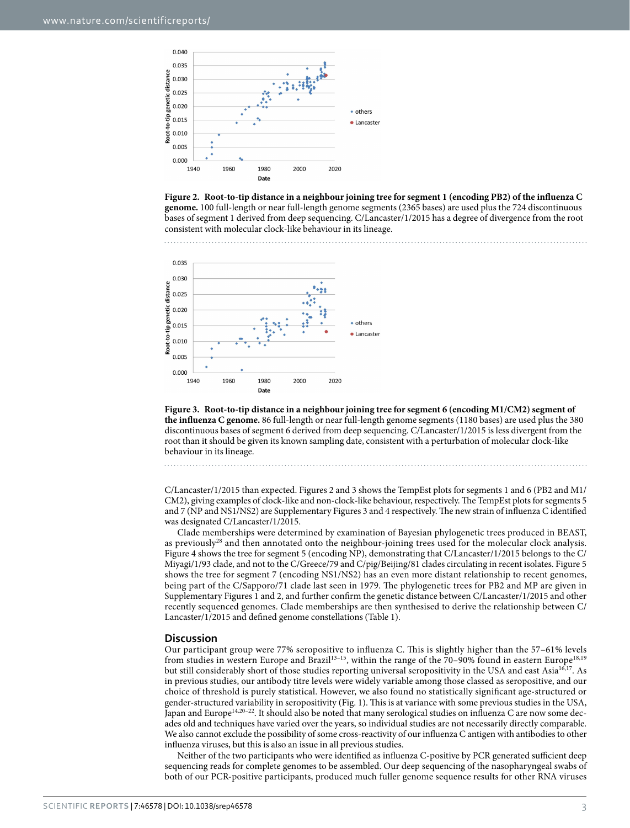





<span id="page-2-0"></span>**Figure 3. Root-to-tip distance in a neighbour joining tree for segment 6 (encoding M1/CM2) segment of the influenza C genome.** 86 full-length or near full-length genome segments (1180 bases) are used plus the 380 discontinuous bases of segment 6 derived from deep sequencing. C/Lancaster/1/2015 is less divergent from the root than it should be given its known sampling date, consistent with a perturbation of molecular clock-like behaviour in its lineage.

C/Lancaster/1/2015 than expected. Figures 2 and 3 shows the TempEst plots for segments 1 and 6 (PB2 and M1/ CM2), giving examples of clock-like and non-clock-like behaviour, respectively. The TempEst plots for segments 5 and 7 (NP and NS1/NS2) are Supplementary Figures 3 and 4 respectively. The new strain of influenza C identified was designated C/Lancaster/1/2015.

Clade memberships were determined by examination of Bayesian phylogenetic trees produced in BEAST, as previously<sup>28</sup> and then annotated onto the neighbour-joining trees used for the molecular clock analysis. [Figure 4](#page-3-0) shows the tree for segment 5 (encoding NP), demonstrating that C/Lancaster/1/2015 belongs to the C/ Miyagi/1/93 clade, and not to the C/Greece/79 and C/pig/Beijing/81 clades circulating in recent isolates. [Figure 5](#page-4-0)  shows the tree for segment 7 (encoding NS1/NS2) has an even more distant relationship to recent genomes, being part of the C/Sapporo/71 clade last seen in 1979. The phylogenetic trees for PB2 and MP are given in Supplementary Figures 1 and 2, and further confirm the genetic distance between C/Lancaster/1/2015 and other recently sequenced genomes. Clade memberships are then synthesised to derive the relationship between C/ Lancaster/1/2015 and defined genome constellations [\(Table 1\)](#page-4-1).

#### **Discussion**

Our participant group were 77% seropositive to influenza C. This is slightly higher than the 57–61% levels from studies in western Europe and Brazil<sup>13–15</sup>, within the range of the 70–90% found in eastern Europe<sup>[18,](#page-6-1)[19](#page-6-9)</sup> but still considerably short of those studies reporting universal seropositivity in the USA and east Asia<sup>16,17</sup>. As in previous studies, our antibody titre levels were widely variable among those classed as seropositive, and our choice of threshold is purely statistical. However, we also found no statistically significant age-structured or gender-structured variability in seropositivity [\(Fig. 1\)](#page-1-0). This is at variance with some previous studies in the USA, Japan and Europe<sup>14,20-22</sup>. It should also be noted that many serological studies on influenza C are now some decades old and techniques have varied over the years, so individual studies are not necessarily directly comparable. We also cannot exclude the possibility of some cross-reactivity of our influenza C antigen with antibodies to other influenza viruses, but this is also an issue in all previous studies.

Neither of the two participants who were identified as influenza C-positive by PCR generated sufficient deep sequencing reads for complete genomes to be assembled. Our deep sequencing of the nasopharyngeal swabs of both of our PCR-positive participants, produced much fuller genome sequence results for other RNA viruses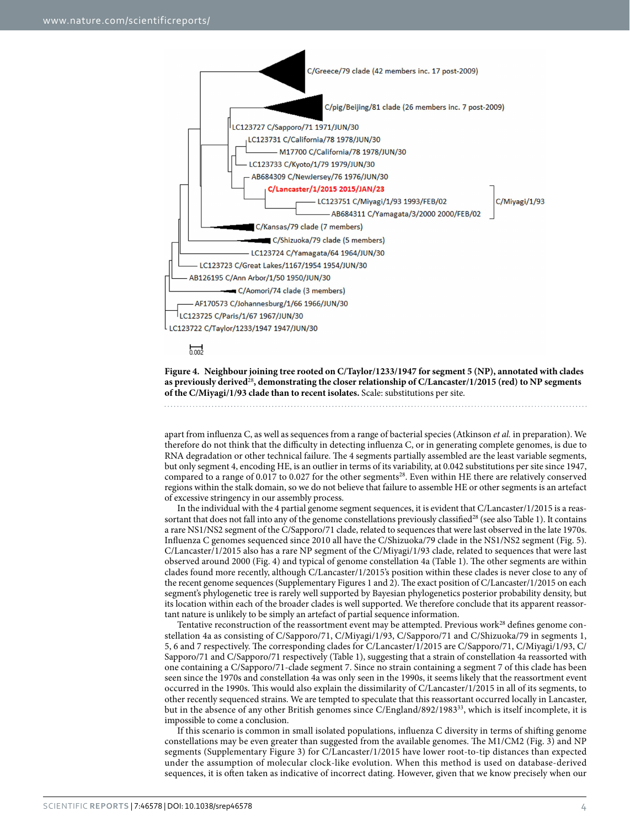

<span id="page-3-0"></span>**Figure 4. Neighbour joining tree rooted on C/Taylor/1233/1947 for segment 5 (NP), annotated with clades as previously derived**[28](#page-6-6)**, demonstrating the closer relationship of C/Lancaster/1/2015 (red) to NP segments of the C/Miyagi/1/93 clade than to recent isolates.** Scale: substitutions per site.

apart from influenza C, as well as sequences from a range of bacterial species (Atkinson *et al.* in preparation). We therefore do not think that the difficulty in detecting influenza C, or in generating complete genomes, is due to RNA degradation or other technical failure. The 4 segments partially assembled are the least variable segments, but only segment 4, encoding HE, is an outlier in terms of its variability, at 0.042 substitutions per site since 1947, compared to a range of 0.017 to 0.027 for the other segment[s28](#page-6-6). Even within HE there are relatively conserved regions within the stalk domain, so we do not believe that failure to assemble HE or other segments is an artefact of excessive stringency in our assembly process.

In the individual with the 4 partial genome segment sequences, it is evident that C/Lancaster/1/2015 is a reas-sortant that does not fall into any of the genome constellations previously classified<sup>[28](#page-6-6)</sup> (see also [Table 1\)](#page-4-1). It contains a rare NS1/NS2 segment of the C/Sapporo/71 clade, related to sequences that were last observed in the late 1970s. Influenza C genomes sequenced since 2010 all have the C/Shizuoka/79 clade in the NS1/NS2 segment [\(Fig. 5](#page-4-0)). C/Lancaster/1/2015 also has a rare NP segment of the C/Miyagi/1/93 clade, related to sequences that were last observed around 2000 ([Fig. 4\)](#page-3-0) and typical of genome constellation 4a ([Table 1\)](#page-4-1). The other segments are within clades found more recently, although C/Lancaster/1/2015's position within these clades is never close to any of the recent genome sequences (Supplementary Figures 1 and 2). The exact position of C/Lancaster/1/2015 on each segment's phylogenetic tree is rarely well supported by Bayesian phylogenetics posterior probability density, but its location within each of the broader clades is well supported. We therefore conclude that its apparent reassortant nature is unlikely to be simply an artefact of partial sequence information.

Tentative reconstruction of the reassortment event may be attempted. Previous work<sup>28</sup> defines genome constellation 4a as consisting of C/Sapporo/71, C/Miyagi/1/93, C/Sapporo/71 and C/Shizuoka/79 in segments 1, 5, 6 and 7 respectively. The corresponding clades for C/Lancaster/1/2015 are C/Sapporo/71, C/Miyagi/1/93, C/ Sapporo/71 and C/Sapporo/71 respectively ([Table 1](#page-4-1)), suggesting that a strain of constellation 4a reassorted with one containing a C/Sapporo/71-clade segment 7. Since no strain containing a segment 7 of this clade has been seen since the 1970s and constellation 4a was only seen in the 1990s, it seems likely that the reassortment event occurred in the 1990s. This would also explain the dissimilarity of C/Lancaster/1/2015 in all of its segments, to other recently sequenced strains. We are tempted to speculate that this reassortant occurred locally in Lancaster, but in the absence of any other British genomes since C/England/892/1983<sup>33</sup>, which is itself incomplete, it is impossible to come a conclusion.

If this scenario is common in small isolated populations, influenza C diversity in terms of shifting genome constellations may be even greater than suggested from the available genomes. The M1/CM2 ([Fig. 3](#page-2-0)) and NP segments (Supplementary Figure 3) for C/Lancaster/1/2015 have lower root-to-tip distances than expected under the assumption of molecular clock-like evolution. When this method is used on database-derived sequences, it is often taken as indicative of incorrect dating. However, given that we know precisely when our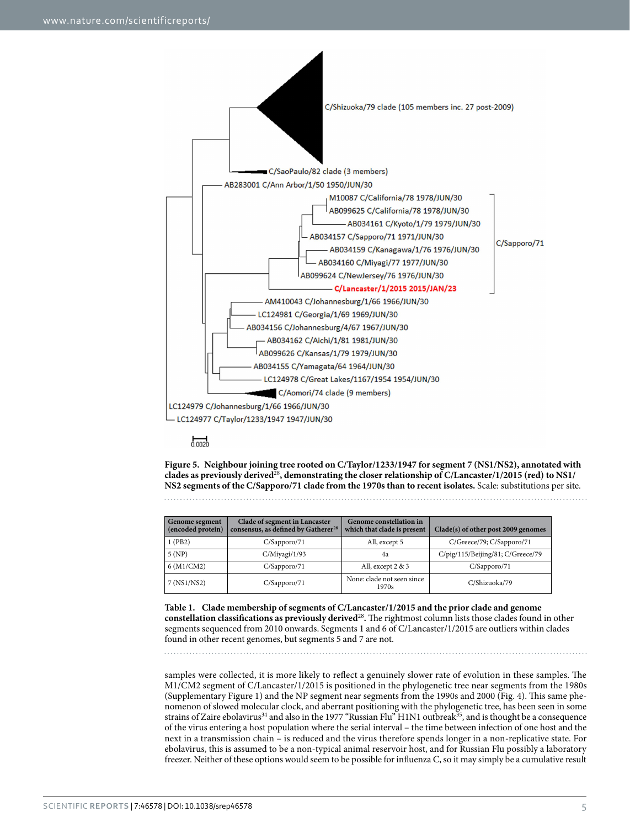

 $\overline{\text{max}}$ 

<span id="page-4-0"></span>**Figure 5. Neighbour joining tree rooted on C/Taylor/1233/1947 for segment 7 (NS1/NS2), annotated with clades as previously derived**[28](#page-6-6)**, demonstrating the closer relationship of C/Lancaster/1/2015 (red) to NS1/ NS2 segments of the C/Sapporo/71 clade from the 1970s than to recent isolates.** Scale: substitutions per site.

<span id="page-4-1"></span>

| <b>Genome</b> segment<br>(encoded protein) | <b>Clade of segment in Lancaster</b><br>consensus, as defined by Gatherer <sup>28</sup> | <b>Genome constellation in</b><br>which that clade is present | Clade(s) of other post 2009 genomes |
|--------------------------------------------|-----------------------------------------------------------------------------------------|---------------------------------------------------------------|-------------------------------------|
| 1 (PB2)                                    | C/Sapporo/71                                                                            | All, except 5                                                 | C/Greece/79; C/Sapporo/71           |
| 5(NP)                                      | C/Miyagi/1/93                                                                           | 4a                                                            | C/pig/115/Beijing/81; C/Greece/79   |
| 6(M1/CM2)                                  | C/Sapporo/71                                                                            | All, except $2 & 3$                                           | C/Sapporo/71                        |
| 7 (NS1/NS2)                                | C/Sapporo/71                                                                            | None: clade not seen since<br>1970s                           | C/Shizuoka/79                       |

**Table 1. Clade membership of segments of C/Lancaster/1/2015 and the prior clade and genome constellation classifications as previously derived**[28](#page-6-6)**.** The rightmost column lists those clades found in other segments sequenced from 2010 onwards. Segments 1 and 6 of C/Lancaster/1/2015 are outliers within clades found in other recent genomes, but segments 5 and 7 are not.

samples were collected, it is more likely to reflect a genuinely slower rate of evolution in these samples. The M1/CM2 segment of C/Lancaster/1/2015 is positioned in the phylogenetic tree near segments from the 1980s (Supplementary Figure 1) and the NP segment near segments from the 1990s and 2000 [\(Fig. 4](#page-3-0)). This same phenomenon of slowed molecular clock, and aberrant positioning with the phylogenetic tree, has been seen in some strains of Zaire ebolavirus<sup>34</sup> and also in the 1977 "Russian Flu" H1N1 outbreak<sup>35</sup>, and is thought be a consequence of the virus entering a host population where the serial interval – the time between infection of one host and the next in a transmission chain – is reduced and the virus therefore spends longer in a non-replicative state. For ebolavirus, this is assumed to be a non-typical animal reservoir host, and for Russian Flu possibly a laboratory freezer. Neither of these options would seem to be possible for influenza C, so it may simply be a cumulative result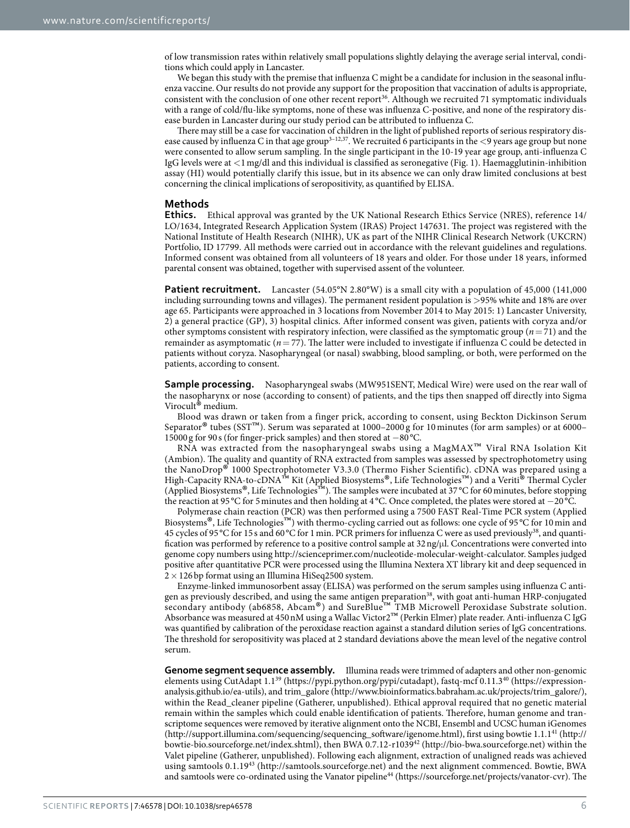of low transmission rates within relatively small populations slightly delaying the average serial interval, conditions which could apply in Lancaster.

We began this study with the premise that influenza C might be a candidate for inclusion in the seasonal influenza vaccine. Our results do not provide any support for the proposition that vaccination of adults is appropriate, consistent with the conclusion of one other recent report<sup>36</sup>. Although we recruited 71 symptomatic individuals with a range of cold/flu-like symptoms, none of these was influenza C-positive, and none of the respiratory disease burden in Lancaster during our study period can be attributed to influenza C.

There may still be a case for vaccination of children in the light of published reports of serious respiratory disease caused by influenza C in that age group<sup>3-12,37</sup>. We recruited 6 participants in the <9 years age group but none were consented to allow serum sampling. In the single participant in the 10-19 year age group, anti-influenza C IgG levels were at <1mg/dl and this individual is classified as seronegative ([Fig. 1\)](#page-1-0). Haemagglutinin-inhibition assay (HI) would potentially clarify this issue, but in its absence we can only draw limited conclusions at best concerning the clinical implications of seropositivity, as quantified by ELISA.

#### **Methods**

**Ethics.** Ethical approval was granted by the UK National Research Ethics Service (NRES), reference [14/](#page-6-2) LO/1634, Integrated Research Application System (IRAS) Project 147631. The project was registered with the National Institute of Health Research (NIHR), UK as part of the NIHR Clinical Research Network (UKCRN) Portfolio, ID 17799. All methods were carried out in accordance with the relevant guidelines and regulations. Informed consent was obtained from all volunteers of 18 years and older. For those under 18 years, informed parental consent was obtained, together with supervised assent of the volunteer.

**Patient recruitment.** Lancaster (54.05°N 2.80°W) is a small city with a population of 45,000 (141,000) including surrounding towns and villages). The permanent resident population is >95% white and 18% are over age 65. Participants were approached in 3 locations from November 2014 to May 2015: 1) Lancaster University, 2) a general practice (GP), 3) hospital clinics. After informed consent was given, patients with coryza and/or other symptoms consistent with respiratory infection, were classified as the symptomatic group (*n*=71) and the remainder as asymptomatic (*n*= 77). The latter were included to investigate if influenza C could be detected in patients without coryza. Nasopharyngeal (or nasal) swabbing, blood sampling, or both, were performed on the patients, according to consent.

**Sample processing.** Nasopharyngeal swabs (MW951SENT, Medical Wire) were used on the rear wall of the nasopharynx or nose (according to consent) of patients, and the tips then snapped off directly into Sigma Virocult® medium.

Blood was drawn or taken from a finger prick, according to consent, using Beckton Dickinson Serum Separator<sup>®</sup> tubes (SST<sup>™</sup>). Serum was separated at 1000–2000 g for 10 minutes (for arm samples) or at 6000– 15000 g for 90 s (for finger-prick samples) and then stored at −80 °C.

RNA was extracted from the nasopharyngeal swabs using a MagMAX™ Viral RNA Isolation Kit (Ambion). The quality and quantity of RNA extracted from samples was assessed by spectrophotometry using the NanoDrop<sup>®</sup> 1000 Spectrophotometer V3.3.0 (Thermo Fisher Scientific). cDNA was prepared using a High Conceity PNA to cDNA™ Kit (Applied Biosysteme® Life Technologie<sup>rM</sup>) and a Veriti® Thermol Cyclor High-Capacity RNA-to-cDNA™ Kit (Applied Biosystems®, Life Technologies™) and a Veriti® Thermal Cycler (Applied Biosystems®, Life Technologies™). The samples were incubated at 37 °C for 60 minutes, before stopping the reaction at 95 °C for 5 minutes and then holding at 4 °C. Once completed the plates were stored at  $-20\degree C$ the reaction at 95 °C for 5minutes and then holding at 4 °C. Once completed, the plates were stored at −20 °C.

Polymerase chain reaction (PCR) was then performed using a 7500 FAST Real-Time PCR system (Applied Biosystems®, Life Technologies™) with thermo-cycling carried out as follows: one cycle of 95 °C for 10min and 45 cycles of 95 °C for 15 s and 60 °C for 1 min. PCR primers for influenza C were as used previously<sup>38</sup>, and quantification was performed by reference to a positive control sample at 32ng/μl. Concentrations were converted into genome copy numbers using<http://scienceprimer.com/nucleotide-molecular-weight-calculator>. Samples judged positive after quantitative PCR were processed using the Illumina Nextera XT library kit and deep sequenced in  $2 \times 126$  bp format using an Illumina HiSeq2500 system.

Enzyme-linked immunosorbent assay (ELISA) was performed on the serum samples using influenza C antigen as previously described, and using the same antigen preparation<sup>38</sup>, with goat anti-human HRP-conjugated secondary antibody (ab6858, Abcam®) and SureBlue™ TMB Microwell Peroxidase Substrate solution.<br>Absorbance was measured at 450 nM using a Walles Victor<sup>om</sup> (Darkin Elmer) plate reeder. Anti-influenze CIcC Absorbance was measured at 450nM using a Wallac Victor2™ (Perkin Elmer) plate reader. Anti-influenza C IgG was quantified by calibration of the peroxidase reaction against a standard dilution series of IgG concentrations. The threshold for seropositivity was placed at 2 standard deviations above the mean level of the negative control serum.

**Genome segment sequence assembly.** Illumina reads were trimmed of adapters and other non-genomic elements using CutAdapt 1.139 [\(https://pypi.python.org/pypi/cutadapt\)](https://pypi.python.org/pypi/cutadapt), fastq-mcf 0.11.340 [\(https://expression](https://expressionanalysis.github.io/ea-utils)[analysis.github.io/ea-utils\)](https://expressionanalysis.github.io/ea-utils), and trim\_galore ([http://www.bioinformatics.babraham.ac.uk/projects/trim\\_galore/](http://www.bioinformatics.babraham.ac.uk/projects/trim_galore/)), within the Read\_cleaner pipeline (Gatherer, unpublished). Ethical approval required that no genetic material remain within the samples which could enable identification of patients. Therefore, human genome and transcriptome sequences were removed by iterative alignment onto the NCBI, Ensembl and UCSC human iGenomes ([http://support.illumina.com/sequencing/sequencing\\_software/igenome.html](http://support.illumina.com/sequencing/sequencing_software/igenome.html)), first using bowtie 1.1.141 ([http://](http://bowtie-bio.sourceforge.net/index.shtml) [bowtie-bio.sourceforge.net/index.shtml\)](http://bowtie-bio.sourceforge.net/index.shtml), then BWA 0.7.12-r103942 (<http://bio-bwa.sourceforge.net>) within the Valet pipeline (Gatherer, unpublished). Following each alignment, extraction of unaligned reads was achieved using samtools 0.1.1943 [\(http://samtools.sourceforge.net\)](http://samtools.sourceforge.net) and the next alignment commenced. Bowtie, BWA and samtools were co-ordinated using the Vanator pipeline<sup>44</sup> (<https://sourceforge.net/projects/vanator-cvr>). The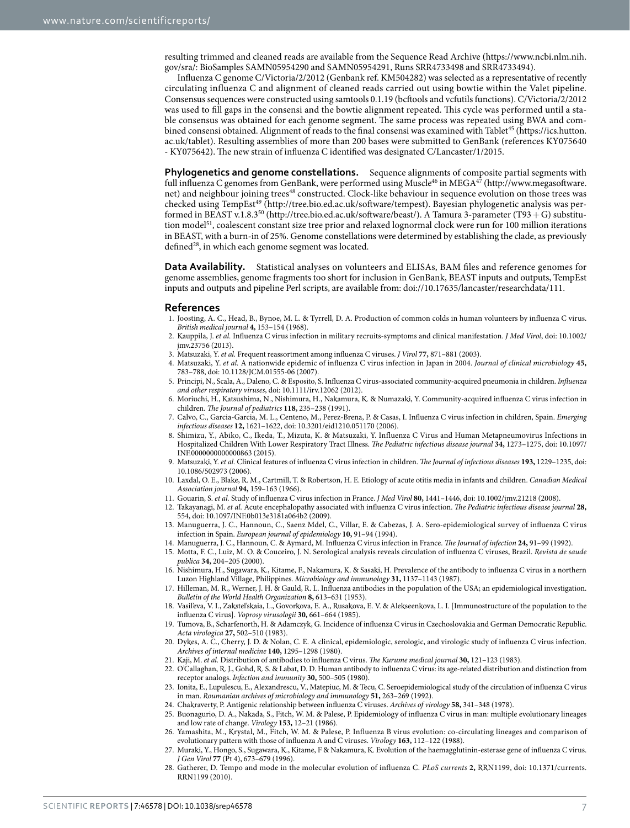resulting trimmed and cleaned reads are available from the Sequence Read Archive [\(https://www.ncbi.nlm.nih.](https://www.ncbi.nlm.nih.gov/sra/) [gov/sra/:](https://www.ncbi.nlm.nih.gov/sra/) BioSamples SAMN05954290 and SAMN05954291, Runs SRR4733498 and SRR4733494).

Influenza C genome C/Victoria/2/2012 (Genbank ref. KM504282) was selected as a representative of recently circulating influenza C and alignment of cleaned reads carried out using bowtie within the Valet pipeline. Consensus sequences were constructed using samtools 0.1.19 (bcftools and vcfutils functions). C/Victoria/2/2012 was used to fill gaps in the consensi and the bowtie alignment repeated. This cycle was performed until a stable consensus was obtained for each genome segment. The same process was repeated using BWA and combined consensi obtained. Alignment of reads to the final consensi was examined with Tablet<sup>45</sup> ([https://ics.hutton.](https://ics.hutton.ac.uk/tablet) [ac.uk/tablet\)](https://ics.hutton.ac.uk/tablet). Resulting assemblies of more than 200 bases were submitted to GenBank (references KY075640 - KY075642). The new strain of influenza C identified was designated C/Lancaster/1/2015.

**Phylogenetics and genome constellations.** Sequence alignments of composite partial segments with full influenza C genomes from GenBank, were performed using Muscle<sup>46</sup> in MEGA<sup>47</sup> ([http://www.megasoftware.](http://www.megasoftware.net) [net](http://www.megasoftware.net)) and neighbour joining trees48 constructed. Clock-like behaviour in sequence evolution on those trees was checked using TempEst<sup>49</sup> ([http://tree.bio.ed.ac.uk/software/tempest\)](http://tree.bio.ed.ac.uk/software/tempest). Bayesian phylogenetic analysis was performed in BEAST v.1.8.3<sup>50</sup> ([http://tree.bio.ed.ac.uk/software/beast/\)](http://tree.bio.ed.ac.uk/software/beast/). A Tamura 3-parameter (T93+G) substitution model<sup>51</sup>, coalescent constant size tree prior and relaxed lognormal clock were run for 100 million iterations in BEAST, with a burn-in of 25%. Genome constellations were determined by establishing the clade, as previously defined<sup>[28](#page-6-6)</sup>, in which each genome segment was located.

**Data Availability.** Statistical analyses on volunteers and ELISAs, BAM files and reference genomes for genome assemblies, genome fragments too short for inclusion in GenBank, BEAST inputs and outputs, TempEst inputs and outputs and pipeline Perl scripts, are available from: doi://10.17635/lancaster/researchdata/111.

#### **References**

- <span id="page-6-0"></span>1. Joosting, A. C., Head, B., Bynoe, M. L. & Tyrrell, D. A. Production of common colds in human volunteers by influenza C virus. *British medical journal* **4,** 153–154 (1968).
- 2. Kauppila, J. *et al.* Influenza C virus infection in military recruits-symptoms and clinical manifestation. *J Med Virol*, doi: 10.1002/ jmv.23756 (2013).
- <span id="page-6-4"></span>3. Matsuzaki, Y. *et al.* Frequent reassortment among influenza C viruses. *J Virol* **77,** 871–881 (2003).
- <span id="page-6-7"></span>4. Matsuzaki, Y. *et al.* A nationwide epidemic of influenza C virus infection in Japan in 2004. *Journal of clinical microbiology* **45,** 783–788, doi: 10.1128/JCM.01555-06 (2007).
- 5. Principi, N., Scala, A., Daleno, C. & Esposito, S. Influenza C virus-associated community-acquired pneumonia in children. *Influenza and other respiratory viruses*, doi: 10.1111/irv.12062 (2012).
- <span id="page-6-5"></span>6. Moriuchi, H., Katsushima, N., Nishimura, H., Nakamura, K. & Numazaki, Y. Community-acquired influenza C virus infection in children. *The Journal of pediatrics* **118,** 235–238 (1991).
- 7. Calvo, C., Garcia-Garcia, M. L., Centeno, M., Perez-Brena, P. & Casas, I. Influenza C virus infection in children, Spain. *Emerging infectious diseases* **12,** 1621–1622, doi: 10.3201/eid1210.051170 (2006).
- 8. Shimizu, Y., Abiko, C., Ikeda, T., Mizuta, K. & Matsuzaki, Y. Influenza C Virus and Human Metapneumovirus Infections in Hospitalized Children With Lower Respiratory Tract Illness. *The Pediatric infectious disease journal* **34,** 1273–1275, doi: 10.1097/ INF.0000000000000863 (2015).
- 9. Matsuzaki, Y. *et al.* Clinical features of influenza C virus infection in children. *The Journal of infectious diseases* **193,** 1229–1235, doi: 10.1086/502973 (2006).
- 10. Laxdal, O. E., Blake, R. M., Cartmill, T. & Robertson, H. E. Etiology of acute otitis media in infants and children. *Canadian Medical Association journal* **94,** 159–163 (1966).
- 11. Gouarin, S. *et al.* Study of influenza C virus infection in France. *J Med Virol* **80,** 1441–1446, doi: 10.1002/jmv.21218 (2008).
- 12. Takayanagi, M. *et al.* Acute encephalopathy associated with influenza C virus infection. *The Pediatric infectious disease journal* **28,** 554, doi: 10.1097/INF.0b013e3181a064b2 (2009).
- <span id="page-6-8"></span>13. Manuguerra, J. C., Hannoun, C., Saenz Mdel, C., Villar, E. & Cabezas, J. A. Sero-epidemiological survey of influenza C virus infection in Spain. *European journal of epidemiology* **10,** 91–94 (1994).
- 14. Manuguerra, J. C., Hannoun, C. & Aymard, M. Influenza C virus infection in France. *The Journal of infection* **24,** 91–99 (1992).
- <span id="page-6-2"></span>15. Motta, F. C., Luiz, M. O. & Couceiro, J. N. Serological analysis reveals circulation of influenza C viruses, Brazil. *Revista de saude publica* **34,** 204–205 (2000).
- <span id="page-6-10"></span>16. Nishimura, H., Sugawara, K., Kitame, F., Nakamura, K. & Sasaki, H. Prevalence of the antibody to influenza C virus in a northern Luzon Highland Village, Philippines. *Microbiology and immunology* **31,** 1137–1143 (1987).
- <span id="page-6-11"></span>17. Hilleman, M. R., Werner, J. H. & Gauld, R. L. Influenza antibodies in the population of the USA; an epidemiological investigation. *Bulletin of the World Health Organization* **8,** 613–631 (1953).
- <span id="page-6-1"></span>18. Vasil'eva, V. I., Zakstel'skaia, L., Govorkova, E. A., Rusakova, E. V. & Alekseenkova, L. I. [Immunostructure of the population to the influenza C virus]. *Voprosy virusologii* **30,** 661–664 (1985).
- <span id="page-6-9"></span>19. Tumova, B., Scharfenorth, H. & Adamczyk, G. Incidence of influenza C virus in Czechoslovakia and German Democratic Republic. *Acta virologica* **27,** 502–510 (1983).
- 20. Dykes, A. C., Cherry, J. D. & Nolan, C. E. A clinical, epidemiologic, serologic, and virologic study of influenza C virus infection. *Archives of internal medicine* **140,** 1295–1298 (1980).
- <span id="page-6-3"></span>21. Kaji, M. *et al.* Distribution of antibodies to influenza C virus. *The Kurume medical journal* **30,** 121–123 (1983).
- 22. O'Callaghan, R. J., Gohd, R. S. & Labat, D. D. Human antibody to influenza C virus: its age-related distribution and distinction from receptor analogs. *Infection and immunity* **30,** 500–505 (1980).
- 23. Ionita, E., Lupulescu, E., Alexandrescu, V., Matepiuc, M. & Tecu, C. Seroepidemiological study of the circulation of influenza C virus in man. *Roumanian archives of microbiology and immunology* **51,** 263–269 (1992).
- 24. Chakraverty, P. Antigenic relationship between influenza C viruses. *Archives of virology* **58,** 341–348 (1978).
- 25. Buonagurio, D. A., Nakada, S., Fitch, W. M. & Palese, P. Epidemiology of influenza C virus in man: multiple evolutionary lineages and low rate of change. *Virology* **153,** 12–21 (1986).
- 26. Yamashita, M., Krystal, M., Fitch, W. M. & Palese, P. Influenza B virus evolution: co-circulating lineages and comparison of evolutionary pattern with those of influenza A and C viruses. *Virology* **163,** 112–122 (1988).
- 27. Muraki, Y., Hongo, S., Sugawara, K., Kitame, F & Nakamura, K. Evolution of the haemagglutinin-esterase gene of influenza C virus. *J Gen Virol* **77** (Pt 4), 673–679 (1996).
- <span id="page-6-6"></span>28. Gatherer, D. Tempo and mode in the molecular evolution of influenza C. *PLoS currents* **2,** RRN1199, doi: 10.1371/currents. RRN1199 (2010).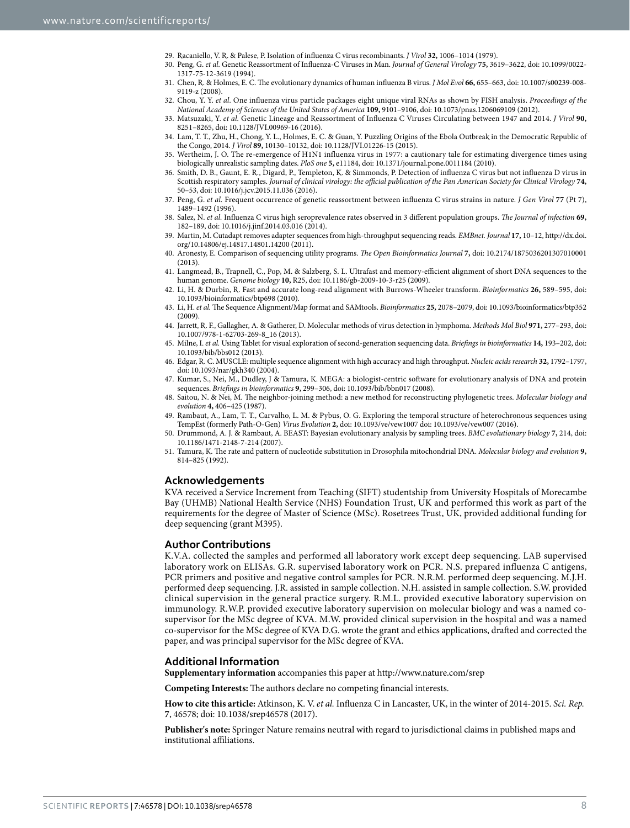- 29. Racaniello, V. R. & Palese, P. Isolation of influenza C virus recombinants. *J Virol* **32,** 1006–1014 (1979).
- <span id="page-7-0"></span>30. Peng, G. *et al.* Genetic Reassortment of Influenza-C Viruses in Man. *Journal of General Virology* **75,** 3619–3622, doi: 10.1099/0022- 1317-75-12-3619 (1994).
	- 31. Chen, R. & Holmes, E. C. The evolutionary dynamics of human influenza B virus. *J Mol Evol* **66,** 655–663, doi: 10.1007/s00239-008- 9119-z (2008).
	- 32. Chou, Y. Y. *et al.* One influenza virus particle packages eight unique viral RNAs as shown by FISH analysis. *Proceedings of the National Academy of Sciences of the United States of America* **109,** 9101–9106, doi: 10.1073/pnas.1206069109 (2012).
	- 33. Matsuzaki, Y. *et al.* Genetic Lineage and Reassortment of Influenza C Viruses Circulating between 1947 and 2014. *J Virol* **90,** 8251–8265, doi: 10.1128/JVI.00969-16 (2016).
	- 34. Lam, T. T., Zhu, H., Chong, Y. L., Holmes, E. C. & Guan, Y. Puzzling Origins of the Ebola Outbreak in the Democratic Republic of the Congo, 2014. *J Virol* **89,** 10130–10132, doi: 10.1128/JVI.01226-15 (2015).
	- 35. Wertheim, J. O. The re-emergence of H1N1 influenza virus in 1977: a cautionary tale for estimating divergence times using biologically unrealistic sampling dates. *PloS one* **5,** e11184, doi: 10.1371/journal.pone.0011184 (2010).
	- 36. Smith, D. B., Gaunt, E. R., Digard, P., Templeton, K. & Simmonds, P. Detection of influenza C virus but not influenza D virus in Scottish respiratory samples. *Journal of clinical virology: the official publication of the Pan American Society for Clinical Virology* **74,** 50–53, doi: 10.1016/j.jcv.2015.11.036 (2016).
	- 37. Peng, G. *et al.* Frequent occurrence of genetic reassortment between influenza C virus strains in nature. *J Gen Virol* **77** (Pt 7), 1489–1492 (1996).
	- 38. Salez, N. *et al.* Influenza C virus high seroprevalence rates observed in 3 different population groups. *The Journal of infection* **69,** 182–189, doi: 10.1016/j.jinf.2014.03.016 (2014).
	- 39. Martin, M. Cutadapt removes adapter sequences from high-throughput sequencing reads. *EMBnet. Journal* **17,** 10–12, [http://dx.doi.](http://dx.doi.org/10.14806/ej.14817.14801.14200) [org/10.14806/ej.14817.14801.14200](http://dx.doi.org/10.14806/ej.14817.14801.14200) (2011).
	- 40. Aronesty, E. Comparison of sequencing utility programs. *The Open Bioinformatics Journal* **7,** doi: 10.2174/1875036201307010001 (2013).
	- 41. Langmead, B., Trapnell, C., Pop, M. & Salzberg, S. L. Ultrafast and memory-efficient alignment of short DNA sequences to the human genome. *Genome biology* **10,** R25, doi: 10.1186/gb-2009-10-3-r25 (2009).
	- 42. Li, H. & Durbin, R. Fast and accurate long-read alignment with Burrows-Wheeler transform. *Bioinformatics* **26,** 589–595, doi: 10.1093/bioinformatics/btp698 (2010).
	- 43. Li, H. *et al.* The Sequence Alignment/Map format and SAMtools. *Bioinformatics* **25,** 2078–2079, doi: 10.1093/bioinformatics/btp352 (2009).
	- 44. Jarrett, R. F., Gallagher, A. & Gatherer, D. Molecular methods of virus detection in lymphoma. *Methods Mol Biol* **971,** 277–293, doi: 10.1007/978-1-62703-269-8\_16 (2013).
	- 45. Milne, I. *et al.* Using Tablet for visual exploration of second-generation sequencing data. *Briefings in bioinformatics* **14,** 193–202, doi: 10.1093/bib/bbs012 (2013).
	- 46. Edgar, R. C. MUSCLE: multiple sequence alignment with high accuracy and high throughput. *Nucleic acids research* **32,** 1792–1797, doi: 10.1093/nar/gkh340 (2004).
	- 47. Kumar, S., Nei, M., Dudley, J & Tamura, K. MEGA: a biologist-centric software for evolutionary analysis of DNA and protein sequences. *Briefings in bioinformatics* **9,** 299–306, doi: 10.1093/bib/bbn017 (2008).
	- 48. Saitou, N. & Nei, M. The neighbor-joining method: a new method for reconstructing phylogenetic trees. *Molecular biology and evolution* **4,** 406–425 (1987).
	- 49. Rambaut, A., Lam, T. T., Carvalho, L. M. & Pybus, O. G. Exploring the temporal structure of heterochronous sequences using TempEst (formerly Path-O-Gen) *Virus Evolution* **2,** doi: 10.1093/ve/vew1007 doi: 10.1093/ve/vew007 (2016).
	- 50. Drummond, A. J. & Rambaut, A. BEAST: Bayesian evolutionary analysis by sampling trees. *BMC evolutionary biology* **7,** 214, doi: 10.1186/1471-2148-7-214 (2007).
	- 51. Tamura, K. The rate and pattern of nucleotide substitution in Drosophila mitochondrial DNA. *Molecular biology and evolution* **9,** 814–825 (1992).

### **Acknowledgements**

KVA received a Service Increment from Teaching (SIFT) studentship from University Hospitals of Morecambe Bay (UHMB) National Health Service (NHS) Foundation Trust, UK and performed this work as part of the requirements for the degree of Master of Science (MSc). Rosetrees Trust, UK, provided additional funding for deep sequencing (grant M395).

#### **Author Contributions**

K.V.A. collected the samples and performed all laboratory work except deep sequencing. LAB supervised laboratory work on ELISAs. G.R. supervised laboratory work on PCR. N.S. prepared influenza C antigens, PCR primers and positive and negative control samples for PCR. N.R.M. performed deep sequencing. M.J.H. performed deep sequencing. J.R. assisted in sample collection. N.H. assisted in sample collection. S.W. provided clinical supervision in the general practice surgery. R.M.L. provided executive laboratory supervision on immunology. R.W.P. provided executive laboratory supervision on molecular biology and was a named cosupervisor for the MSc degree of KVA. M.W. provided clinical supervision in the hospital and was a named co-supervisor for the MSc degree of KVA D.G. wrote the grant and ethics applications, drafted and corrected the paper, and was principal supervisor for the MSc degree of KVA.

### **Additional Information**

**Supplementary information** accompanies this paper at <http://www.nature.com/srep>

**Competing Interests:** The authors declare no competing financial interests.

**How to cite this article:** Atkinson, K. V. *et al.* Influenza C in Lancaster, UK, in the winter of 2014-2015. *Sci. Rep.* **7**, 46578; doi: 10.1038/srep46578 (2017).

**Publisher's note:** Springer Nature remains neutral with regard to jurisdictional claims in published maps and institutional affiliations.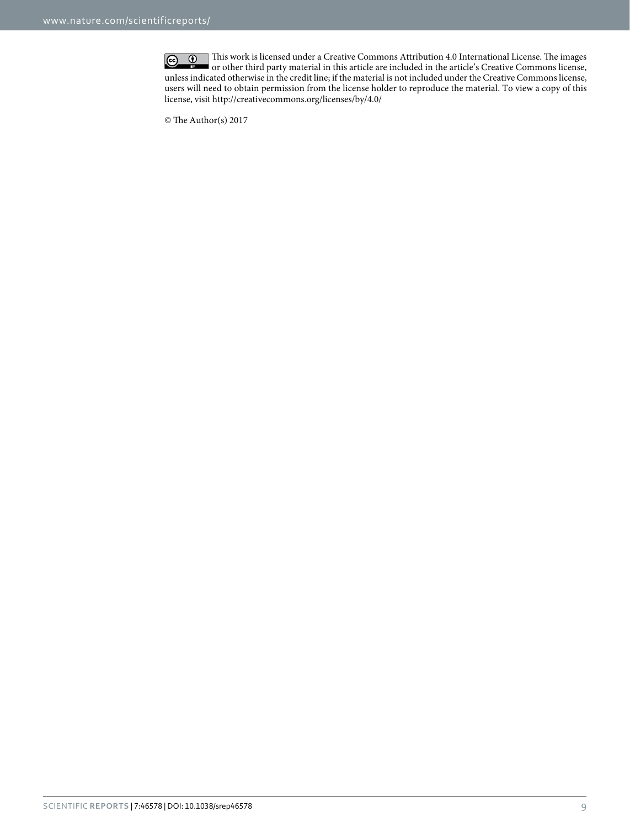C  $\bigcirc$  This work is licensed under a Creative Commons Attribution 4.0 International License. The images or other third party material in this article are included in the article's Creative Commons license, unless indicated otherwise in the credit line; if the material is not included under the Creative Commons license, users will need to obtain permission from the license holder to reproduce the material. To view a copy of this license, visit <http://creativecommons.org/licenses/by/4.0/>

© The Author(s) 2017